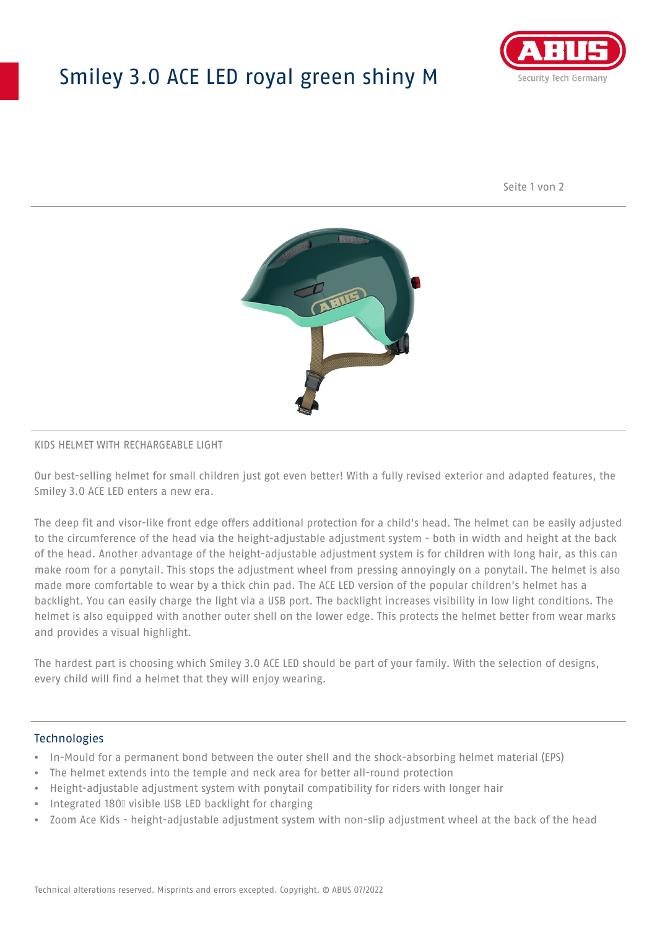# Smiley 3.0 ACE LED royal green shiny M



Seite 1 von 2



#### KIDS HELMET WITH RECHARGEABLE LIGHT

Our best-selling helmet for small children just got even better! With a fully revised exterior and adapted features, the Smiley 3.0 ACE LED enters a new era.

The deep fit and visor-like front edge offers additional protection for a child's head. The helmet can be easily adjusted to the circumference of the head via the height-adjustable adjustment system - both in width and height at the back of the head. Another advantage of the height-adjustable adjustment system is for children with long hair, as this can make room for a ponytail. This stops the adjustment wheel from pressing annoyingly on a ponytail. The helmet is also made more comfortable to wear by a thick chin pad. The ACE LED version of the popular children's helmet has a backlight. You can easily charge the light via a USB port. The backlight increases visibility in low light conditions. The helmet is also equipped with another outer shell on the lower edge. This protects the helmet better from wear marks and provides a visual highlight.

The hardest part is choosing which Smiley 3.0 ACE LED should be part of your family. With the selection of designs, every child will find a helmet that they will enjoy wearing.

### **Technologies**

- In-Mould for a permanent bond between the outer shell and the shock-absorbing helmet material (EPS)
- The helmet extends into the temple and neck area for better all-round protection
- Height-adjustable adjustment system with ponytail compatibility for riders with longer hair
- Integrated 180⁰ visible USB LED backlight for charging
- Zoom Ace Kids height-adjustable adjustment system with non-slip adjustment wheel at the back of the head